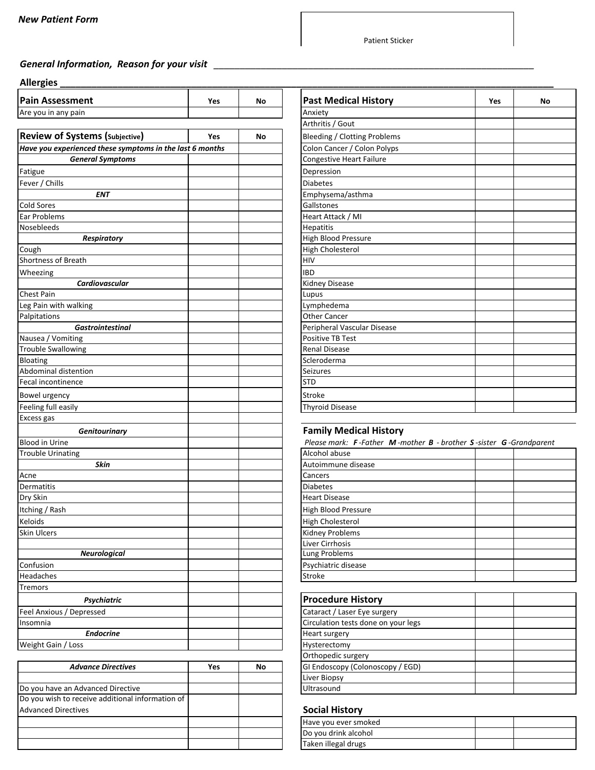## *General Information, Reason for your visit \_\_\_\_\_\_\_\_\_\_\_\_\_\_\_\_\_\_\_\_\_\_\_\_\_\_\_\_\_\_\_\_\_\_\_\_\_\_\_\_\_\_\_\_\_\_\_\_\_\_\_\_\_\_\_\_\_\_\_\_\_*

#### **Allergies \_\_\_\_\_\_\_\_\_\_\_\_\_\_\_\_\_\_\_\_\_\_\_\_\_\_\_\_\_\_\_\_\_\_\_\_\_\_\_\_\_\_\_\_\_\_\_\_\_\_\_\_\_\_\_\_\_\_\_\_\_\_\_\_\_\_\_\_\_\_\_\_\_\_\_\_\_\_\_\_\_\_\_\_\_\_\_\_\_\_\_\_\_\_**

| <b>Pain Assessment</b>                                   | Yes | No | <b>Past Medical History</b>                                       | Yes | No. |
|----------------------------------------------------------|-----|----|-------------------------------------------------------------------|-----|-----|
| Are you in any pain                                      |     |    | Anxiety                                                           |     |     |
|                                                          |     |    | Arthritis / Gout                                                  |     |     |
| <b>Review of Systems (Subjective)</b>                    | Yes | No | <b>Bleeding / Clotting Problems</b>                               |     |     |
| Have you experienced these symptoms in the last 6 months |     |    | Colon Cancer / Colon Polyps                                       |     |     |
| <b>General Symptoms</b>                                  |     |    | Congestive Heart Failure                                          |     |     |
| Fatigue                                                  |     |    | Depression                                                        |     |     |
| Fever / Chills                                           |     |    | <b>Diabetes</b>                                                   |     |     |
| <b>ENT</b>                                               |     |    | Emphysema/asthma                                                  |     |     |
| Cold Sores                                               |     |    | Gallstones                                                        |     |     |
| Ear Problems                                             |     |    | Heart Attack / MI                                                 |     |     |
| Nosebleeds                                               |     |    | Hepatitis                                                         |     |     |
| <b>Respiratory</b>                                       |     |    | <b>High Blood Pressure</b>                                        |     |     |
| Cough                                                    |     |    | <b>High Cholesterol</b>                                           |     |     |
| Shortness of Breath                                      |     |    | HIV                                                               |     |     |
| Wheezing                                                 |     |    | <b>IBD</b>                                                        |     |     |
| Cardiovascular                                           |     |    | <b>Kidney Disease</b>                                             |     |     |
| <b>Chest Pain</b>                                        |     |    | Lupus                                                             |     |     |
| Leg Pain with walking                                    |     |    | Lymphedema                                                        |     |     |
| Palpitations                                             |     |    | Other Cancer                                                      |     |     |
| <b>Gastrointestinal</b>                                  |     |    | Peripheral Vascular Disease                                       |     |     |
| Nausea / Vomiting                                        |     |    | <b>Positive TB Test</b>                                           |     |     |
| <b>Trouble Swallowing</b>                                |     |    | <b>Renal Disease</b>                                              |     |     |
| Bloating                                                 |     |    | Scleroderma                                                       |     |     |
| Abdominal distention                                     |     |    | <b>Seizures</b>                                                   |     |     |
| Fecal incontinence                                       |     |    | <b>STD</b>                                                        |     |     |
| Bowel urgency                                            |     |    | Stroke                                                            |     |     |
| Feeling full easily                                      |     |    | <b>Thyroid Disease</b>                                            |     |     |
| Excess gas                                               |     |    |                                                                   |     |     |
| Genitourinary                                            |     |    | <b>Family Medical History</b>                                     |     |     |
| <b>Blood in Urine</b>                                    |     |    | Please mark: F-Father M-mother B - brother S-sister G-Grandparent |     |     |
| <b>Trouble Urinating</b>                                 |     |    | Alcohol abuse                                                     |     |     |
| Skin                                                     |     |    | Autoimmune disease                                                |     |     |
| Acne                                                     |     |    | Cancers                                                           |     |     |
| Dermatitis                                               |     |    | <b>Diabetes</b>                                                   |     |     |
| Dry Skin                                                 |     |    | <b>Heart Disease</b>                                              |     |     |
| Itching / Rash                                           |     |    | High Blood Pressure                                               |     |     |
| Keloids                                                  |     |    | <b>High Cholesterol</b>                                           |     |     |
| Skin Ulcers                                              |     |    | <b>Kidney Problems</b>                                            |     |     |
|                                                          |     |    | Liver Cirrhosis                                                   |     |     |
| <b>Neurological</b>                                      |     |    | <b>Lung Problems</b>                                              |     |     |
| Confusion                                                |     |    | Psychiatric disease                                               |     |     |
| Headaches                                                |     |    | Stroke                                                            |     |     |
| Tremors                                                  |     |    |                                                                   |     |     |
| Psychiatric                                              |     |    | <b>Procedure History</b>                                          |     |     |
| Feel Anxious / Depressed                                 |     |    | Cataract / Laser Eye surgery                                      |     |     |
| Insomnia                                                 |     |    | Circulation tests done on your legs                               |     |     |
| <b>Endocrine</b>                                         |     |    | Heart surgery                                                     |     |     |
| Weight Gain / Loss                                       |     |    | Hysterectomy                                                      |     |     |

|                                                  |     |    | <b>OF LITOPCAIL JUIFLIT</b>      |
|--------------------------------------------------|-----|----|----------------------------------|
| <b>Advance Directives</b>                        | Yes | No | GI Endoscopy (Colonoscopy / EGD) |
|                                                  |     |    | Liver Biopsy                     |
| Do you have an Advanced Directive                |     |    | <b>Ultrasound</b>                |
| Do you wish to receive additional information of |     |    |                                  |
| <b>Advanced Directives</b>                       |     |    | <b>Social History</b>            |
|                                                  |     |    | Have you ever smoked             |
|                                                  |     |    | Do you drink alcohol             |
|                                                  |     |    | Taken illegal drugs              |

| <b>Past Medical History</b>     | Yes | No |
|---------------------------------|-----|----|
| Anxiety                         |     |    |
| Arthritis / Gout                |     |    |
| Bleeding / Clotting Problems    |     |    |
| Colon Cancer / Colon Polyps     |     |    |
| <b>Congestive Heart Failure</b> |     |    |
| Depression                      |     |    |
| <b>Diabetes</b>                 |     |    |
| Emphysema/asthma                |     |    |
| Gallstones                      |     |    |
| Heart Attack / MI               |     |    |
| <b>Hepatitis</b>                |     |    |
| <b>High Blood Pressure</b>      |     |    |
| <b>High Cholesterol</b>         |     |    |
| <b>HIV</b>                      |     |    |
| <b>IBD</b>                      |     |    |
| <b>Kidney Disease</b>           |     |    |
| Lupus                           |     |    |
| Lymphedema                      |     |    |
| <b>Other Cancer</b>             |     |    |
| Peripheral Vascular Disease     |     |    |
| <b>Positive TB Test</b>         |     |    |
| <b>Renal Disease</b>            |     |    |
| Scleroderma                     |     |    |
| <b>Seizures</b>                 |     |    |
| <b>STD</b>                      |     |    |
| <b>Stroke</b>                   |     |    |
| <b>Thyroid Disease</b>          |     |    |

### **Family Medical History**

| Please mark: F-Father M-mother B - brother S-sister G-Grandparent |  |  |  |
|-------------------------------------------------------------------|--|--|--|
| Alcohol abuse                                                     |  |  |  |
| Autoimmune disease                                                |  |  |  |
| Cancers                                                           |  |  |  |
| <b>Diabetes</b>                                                   |  |  |  |
| <b>Heart Disease</b>                                              |  |  |  |
| High Blood Pressure                                               |  |  |  |
| High Cholesterol                                                  |  |  |  |
| Kidney Problems                                                   |  |  |  |
| Liver Cirrhosis                                                   |  |  |  |
| Lung Problems                                                     |  |  |  |
| Psychiatric disease                                               |  |  |  |
| Stroke                                                            |  |  |  |
|                                                                   |  |  |  |

| <b>Procedure History</b>            |  |
|-------------------------------------|--|
| Cataract / Laser Eye surgery        |  |
| Circulation tests done on your legs |  |
| Heart surgery                       |  |
| Hysterectomy                        |  |
| Orthopedic surgery                  |  |
| GI Endoscopy (Colonoscopy / EGD)    |  |
| Liver Biopsy                        |  |
| Ultrasound                          |  |

#### **Social History**

| Have you ever smoked |  |
|----------------------|--|
| Do you drink alcohol |  |
| Taken illegal drugs  |  |